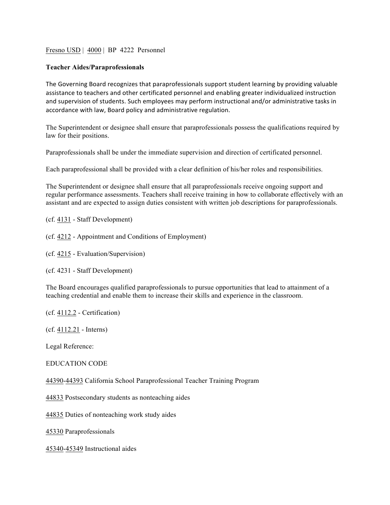## Fresno USD | 4000 | BP 4222 Personnel

## **Teacher Aides/Paraprofessionals**

The Governing Board recognizes that paraprofessionals support student learning by providing valuable assistance to teachers and other certificated personnel and enabling greater individualized instruction and supervision of students. Such employees may perform instructional and/or administrative tasks in accordance with law, Board policy and administrative regulation.

The Superintendent or designee shall ensure that paraprofessionals possess the qualifications required by law for their positions.

Paraprofessionals shall be under the immediate supervision and direction of certificated personnel.

Each paraprofessional shall be provided with a clear definition of his/her roles and responsibilities.

The Superintendent or designee shall ensure that all paraprofessionals receive ongoing support and regular performance assessments. Teachers shall receive training in how to collaborate effectively with an assistant and are expected to assign duties consistent with written job descriptions for paraprofessionals.

(cf. 4131 - Staff Development)

(cf. 4212 - Appointment and Conditions of Employment)

(cf. 4215 - Evaluation/Supervision)

(cf. 4231 - Staff Development)

The Board encourages qualified paraprofessionals to pursue opportunities that lead to attainment of a teaching credential and enable them to increase their skills and experience in the classroom.

(cf. 4112.2 - Certification)

(cf. 4112.21 - Interns)

Legal Reference:

## EDUCATION CODE

44390-44393 California School Paraprofessional Teacher Training Program

44833 Postsecondary students as nonteaching aides

44835 Duties of nonteaching work study aides

45330 Paraprofessionals

45340-45349 Instructional aides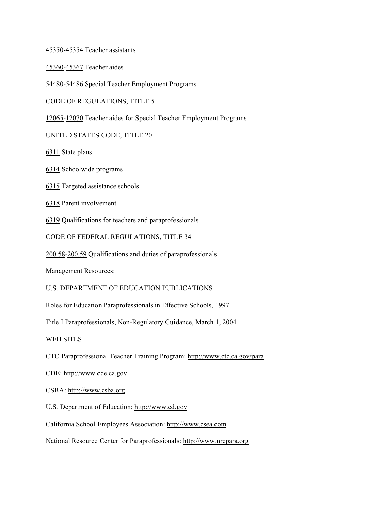45350-45354 Teacher assistants

45360-45367 Teacher aides

54480-54486 Special Teacher Employment Programs

CODE OF REGULATIONS, TITLE 5

12065-12070 Teacher aides for Special Teacher Employment Programs

UNITED STATES CODE, TITLE 20

6311 State plans

6314 Schoolwide programs

6315 Targeted assistance schools

6318 Parent involvement

6319 Qualifications for teachers and paraprofessionals

CODE OF FEDERAL REGULATIONS, TITLE 34

200.58-200.59 Qualifications and duties of paraprofessionals

Management Resources:

U.S. DEPARTMENT OF EDUCATION PUBLICATIONS

Roles for Education Paraprofessionals in Effective Schools, 1997

Title I Paraprofessionals, Non-Regulatory Guidance, March 1, 2004

WEB SITES

CTC Paraprofessional Teacher Training Program: http://www.ctc.ca.gov/para

CDE: http://www.cde.ca.gov

CSBA: http://www.csba.org

U.S. Department of Education: http://www.ed.gov

California School Employees Association: http://www.csea.com

National Resource Center for Paraprofessionals: http://www.nrcpara.org